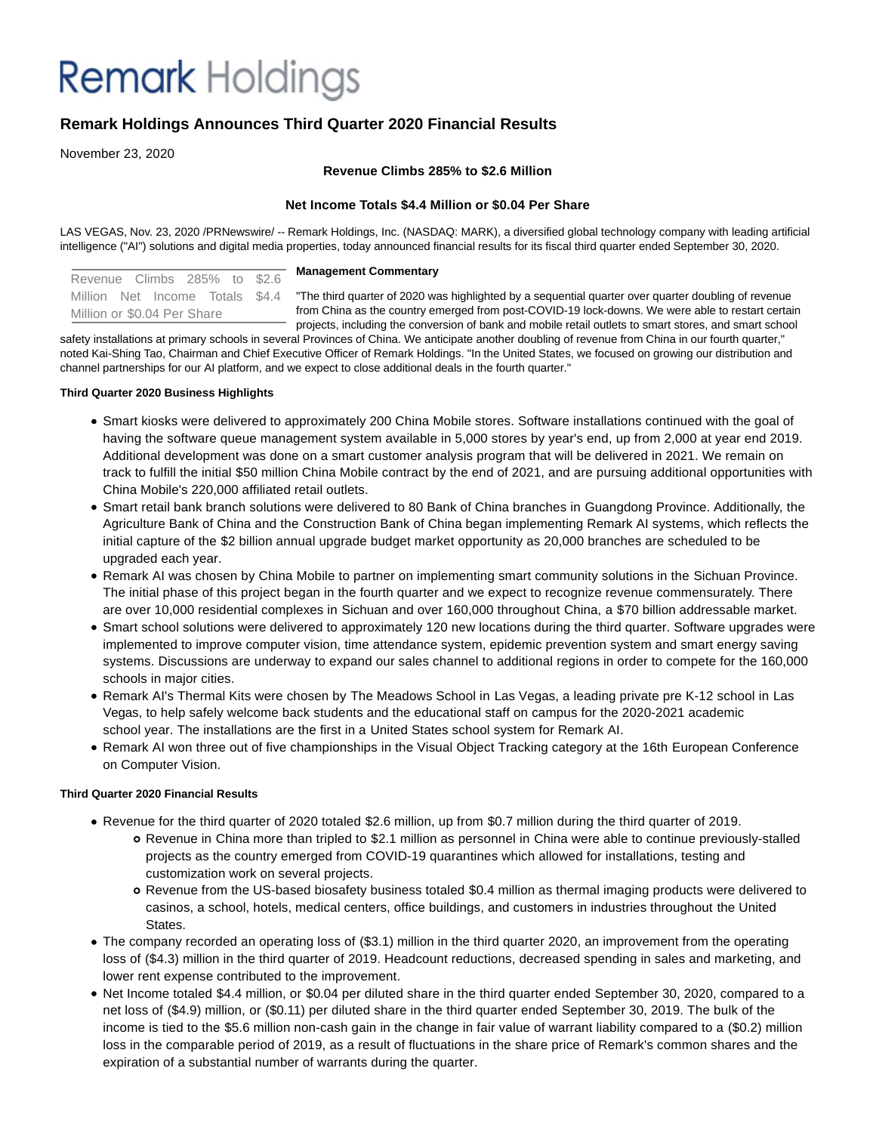# **Remark** Holdings

## **Remark Holdings Announces Third Quarter 2020 Financial Results**

November 23, 2020

### **Revenue Climbs 285% to \$2.6 Million**

### **Net Income Totals \$4.4 Million or \$0.04 Per Share**

LAS VEGAS, Nov. 23, 2020 /PRNewswire/ -- Remark Holdings, Inc. (NASDAQ: MARK), a diversified global technology company with leading artificial intelligence ("AI") solutions and digital media properties, today announced financial results for its fiscal third quarter ended September 30, 2020.

| Revenue Climbs 285% to \$2.6    |  |  |  |  |  |  |  |
|---------------------------------|--|--|--|--|--|--|--|
| Million Net Income Totals \$4.4 |  |  |  |  |  |  |  |
| Million or \$0.04 Per Share     |  |  |  |  |  |  |  |

#### **Management Commentary**

"The third quarter of 2020 was highlighted by a sequential quarter over quarter doubling of revenue from China as the country emerged from post-COVID-19 lock-downs. We were able to restart certain projects, including the conversion of bank and mobile retail outlets to smart stores, and smart school

safety installations at primary schools in several Provinces of China. We anticipate another doubling of revenue from China in our fourth quarter," noted Kai-Shing Tao, Chairman and Chief Executive Officer of Remark Holdings. "In the United States, we focused on growing our distribution and channel partnerships for our AI platform, and we expect to close additional deals in the fourth quarter."

### **Third Quarter 2020 Business Highlights**

- Smart kiosks were delivered to approximately 200 China Mobile stores. Software installations continued with the goal of having the software queue management system available in 5,000 stores by year's end, up from 2,000 at year end 2019. Additional development was done on a smart customer analysis program that will be delivered in 2021. We remain on track to fulfill the initial \$50 million China Mobile contract by the end of 2021, and are pursuing additional opportunities with China Mobile's 220,000 affiliated retail outlets.
- Smart retail bank branch solutions were delivered to 80 Bank of China branches in Guangdong Province. Additionally, the Agriculture Bank of China and the Construction Bank of China began implementing Remark AI systems, which reflects the initial capture of the \$2 billion annual upgrade budget market opportunity as 20,000 branches are scheduled to be upgraded each year.
- Remark AI was chosen by China Mobile to partner on implementing smart community solutions in the Sichuan Province. The initial phase of this project began in the fourth quarter and we expect to recognize revenue commensurately. There are over 10,000 residential complexes in Sichuan and over 160,000 throughout China, a \$70 billion addressable market.
- Smart school solutions were delivered to approximately 120 new locations during the third quarter. Software upgrades were implemented to improve computer vision, time attendance system, epidemic prevention system and smart energy saving systems. Discussions are underway to expand our sales channel to additional regions in order to compete for the 160,000 schools in major cities.
- Remark AI's Thermal Kits were chosen by The Meadows School in Las Vegas, a leading private pre K-12 school in Las Vegas, to help safely welcome back students and the educational staff on campus for the 2020-2021 academic school year. The installations are the first in a United States school system for Remark AI.
- Remark AI won three out of five championships in the Visual Object Tracking category at the 16th European Conference on Computer Vision.

### **Third Quarter 2020 Financial Results**

- Revenue for the third quarter of 2020 totaled \$2.6 million, up from \$0.7 million during the third quarter of 2019.
	- Revenue in China more than tripled to \$2.1 million as personnel in China were able to continue previously-stalled projects as the country emerged from COVID-19 quarantines which allowed for installations, testing and customization work on several projects.
	- Revenue from the US-based biosafety business totaled \$0.4 million as thermal imaging products were delivered to casinos, a school, hotels, medical centers, office buildings, and customers in industries throughout the United States.
- The company recorded an operating loss of (\$3.1) million in the third quarter 2020, an improvement from the operating loss of (\$4.3) million in the third quarter of 2019. Headcount reductions, decreased spending in sales and marketing, and lower rent expense contributed to the improvement.
- Net Income totaled \$4.4 million, or \$0.04 per diluted share in the third quarter ended September 30, 2020, compared to a net loss of (\$4.9) million, or (\$0.11) per diluted share in the third quarter ended September 30, 2019. The bulk of the income is tied to the \$5.6 million non-cash gain in the change in fair value of warrant liability compared to a (\$0.2) million loss in the comparable period of 2019, as a result of fluctuations in the share price of Remark's common shares and the expiration of a substantial number of warrants during the quarter.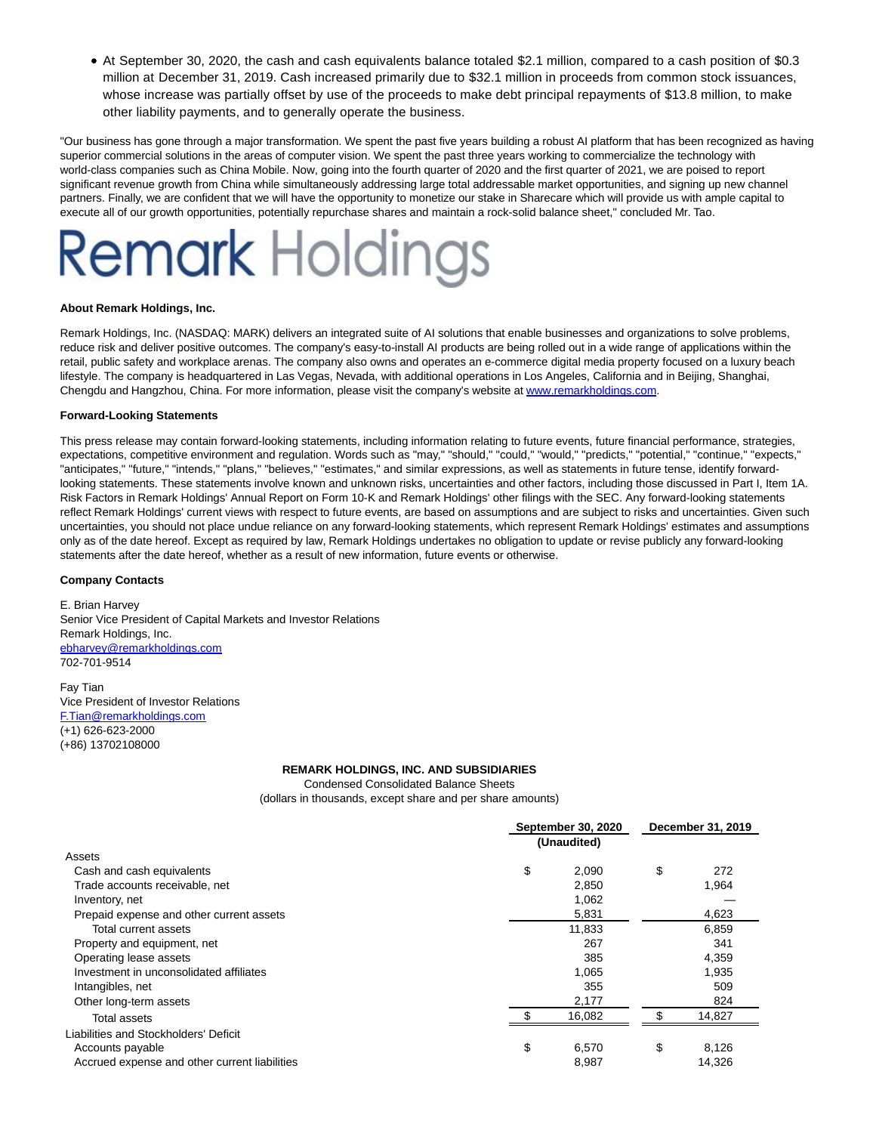At September 30, 2020, the cash and cash equivalents balance totaled \$2.1 million, compared to a cash position of \$0.3 million at December 31, 2019. Cash increased primarily due to \$32.1 million in proceeds from common stock issuances, whose increase was partially offset by use of the proceeds to make debt principal repayments of \$13.8 million, to make other liability payments, and to generally operate the business.

"Our business has gone through a major transformation. We spent the past five years building a robust AI platform that has been recognized as having superior commercial solutions in the areas of computer vision. We spent the past three years working to commercialize the technology with world-class companies such as China Mobile. Now, going into the fourth quarter of 2020 and the first quarter of 2021, we are poised to report significant revenue growth from China while simultaneously addressing large total addressable market opportunities, and signing up new channel partners. Finally, we are confident that we will have the opportunity to monetize our stake in Sharecare which will provide us with ample capital to execute all of our growth opportunities, potentially repurchase shares and maintain a rock-solid balance sheet," concluded Mr. Tao.

# **Remark Holdings**

### **About Remark Holdings, Inc.**

Remark Holdings, Inc. (NASDAQ: MARK) delivers an integrated suite of AI solutions that enable businesses and organizations to solve problems, reduce risk and deliver positive outcomes. The company's easy-to-install AI products are being rolled out in a wide range of applications within the retail, public safety and workplace arenas. The company also owns and operates an e-commerce digital media property focused on a luxury beach lifestyle. The company is headquartered in Las Vegas, Nevada, with additional operations in Los Angeles, California and in Beijing, Shanghai, Chengdu and Hangzhou, China. For more information, please visit the company's website at [www.remarkholdings.com.](https://c212.net/c/link/?t=0&l=en&o=2990966-1&h=3115670635&u=http%3A%2F%2Fwww.remarkholdings.com%2F&a=www.remarkholdings.com)

### **Forward-Looking Statements**

This press release may contain forward-looking statements, including information relating to future events, future financial performance, strategies, expectations, competitive environment and regulation. Words such as "may," "should," "could," "would," "predicts," "potential," "continue," "expects," "anticipates," "future," "intends," "plans," "believes," "estimates," and similar expressions, as well as statements in future tense, identify forwardlooking statements. These statements involve known and unknown risks, uncertainties and other factors, including those discussed in Part I, Item 1A. Risk Factors in Remark Holdings' Annual Report on Form 10-K and Remark Holdings' other filings with the SEC. Any forward-looking statements reflect Remark Holdings' current views with respect to future events, are based on assumptions and are subject to risks and uncertainties. Given such uncertainties, you should not place undue reliance on any forward-looking statements, which represent Remark Holdings' estimates and assumptions only as of the date hereof. Except as required by law, Remark Holdings undertakes no obligation to update or revise publicly any forward-looking statements after the date hereof, whether as a result of new information, future events or otherwise.

### **Company Contacts**

E. Brian Harvey Senior Vice President of Capital Markets and Investor Relations Remark Holdings, Inc. [ebharvey@remarkholdings.com](mailto:ebharvey@remarkholdings.com) 702-701-9514

Fay Tian Vice President of Investor Relations [F.Tian@remarkholdings.com](mailto:F.Tian@remarkholdings.com) (+1) 626-623-2000 (+86) 13702108000

### **REMARK HOLDINGS, INC. AND SUBSIDIARIES**

Condensed Consolidated Balance Sheets (dollars in thousands, except share and per share amounts)

|                                               |             | <b>September 30, 2020</b> |    | December 31, 2019 |  |
|-----------------------------------------------|-------------|---------------------------|----|-------------------|--|
|                                               | (Unaudited) |                           |    |                   |  |
| Assets                                        |             |                           |    |                   |  |
| Cash and cash equivalents                     | \$          | 2,090                     | \$ | 272               |  |
| Trade accounts receivable, net                |             | 2,850                     |    | 1,964             |  |
| Inventory, net                                |             | 1,062                     |    |                   |  |
| Prepaid expense and other current assets      |             | 5,831                     |    | 4,623             |  |
| Total current assets                          |             | 11,833                    |    | 6,859             |  |
| Property and equipment, net                   |             | 267                       |    | 341               |  |
| Operating lease assets                        |             | 385                       |    | 4,359             |  |
| Investment in unconsolidated affiliates       |             | 1,065                     |    | 1,935             |  |
| Intangibles, net                              |             | 355                       |    | 509               |  |
| Other long-term assets                        |             | 2,177                     |    | 824               |  |
| Total assets                                  |             | 16,082                    |    | 14,827            |  |
| Liabilities and Stockholders' Deficit         |             |                           |    |                   |  |
| Accounts payable                              | \$          | 6,570                     | \$ | 8,126             |  |
| Accrued expense and other current liabilities |             | 8,987                     |    | 14,326            |  |